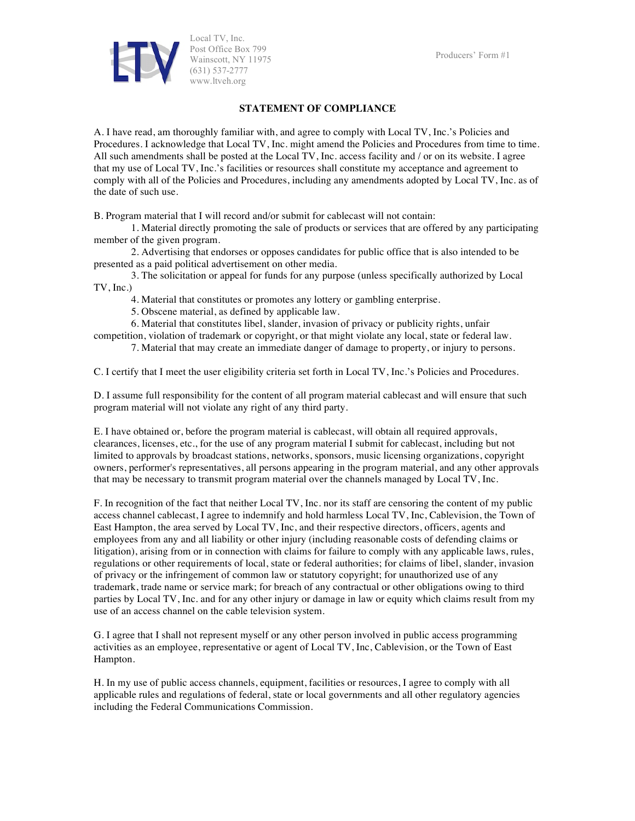Producers' Form #1



Local TV, Inc. Post Office Box 799 Wainscott, NY 11975 (631) 537-2777 www.ltveh.org

## **STATEMENT OF COMPLIANCE**

A. I have read, am thoroughly familiar with, and agree to comply with Local TV, Inc.'s Policies and Procedures. I acknowledge that Local TV, Inc. might amend the Policies and Procedures from time to time. All such amendments shall be posted at the Local TV, Inc. access facility and / or on its website. I agree that my use of Local TV, Inc.'s facilities or resources shall constitute my acceptance and agreement to comply with all of the Policies and Procedures, including any amendments adopted by Local TV, Inc. as of the date of such use.

B. Program material that I will record and/or submit for cablecast will not contain:

1. Material directly promoting the sale of products or services that are offered by any participating member of the given program.

2. Advertising that endorses or opposes candidates for public office that is also intended to be presented as a paid political advertisement on other media.

3. The solicitation or appeal for funds for any purpose (unless specifically authorized by Local TV, Inc.)

4. Material that constitutes or promotes any lottery or gambling enterprise.

5. Obscene material, as defined by applicable law.

6. Material that constitutes libel, slander, invasion of privacy or publicity rights, unfair

competition, violation of trademark or copyright, or that might violate any local, state or federal law.

7. Material that may create an immediate danger of damage to property, or injury to persons.

C. I certify that I meet the user eligibility criteria set forth in Local TV, Inc.'s Policies and Procedures.

D. I assume full responsibility for the content of all program material cablecast and will ensure that such program material will not violate any right of any third party.

E. I have obtained or, before the program material is cablecast, will obtain all required approvals, clearances, licenses, etc., for the use of any program material I submit for cablecast, including but not limited to approvals by broadcast stations, networks, sponsors, music licensing organizations, copyright owners, performer's representatives, all persons appearing in the program material, and any other approvals that may be necessary to transmit program material over the channels managed by Local TV, Inc.

F. In recognition of the fact that neither Local TV, Inc. nor its staff are censoring the content of my public access channel cablecast, I agree to indemnify and hold harmless Local TV, Inc, Cablevision, the Town of East Hampton, the area served by Local TV, Inc, and their respective directors, officers, agents and employees from any and all liability or other injury (including reasonable costs of defending claims or litigation), arising from or in connection with claims for failure to comply with any applicable laws, rules, regulations or other requirements of local, state or federal authorities; for claims of libel, slander, invasion of privacy or the infringement of common law or statutory copyright; for unauthorized use of any trademark, trade name or service mark; for breach of any contractual or other obligations owing to third parties by Local TV, Inc. and for any other injury or damage in law or equity which claims result from my use of an access channel on the cable television system.

G. I agree that I shall not represent myself or any other person involved in public access programming activities as an employee, representative or agent of Local TV, Inc, Cablevision, or the Town of East Hampton.

H. In my use of public access channels, equipment, facilities or resources, I agree to comply with all applicable rules and regulations of federal, state or local governments and all other regulatory agencies including the Federal Communications Commission.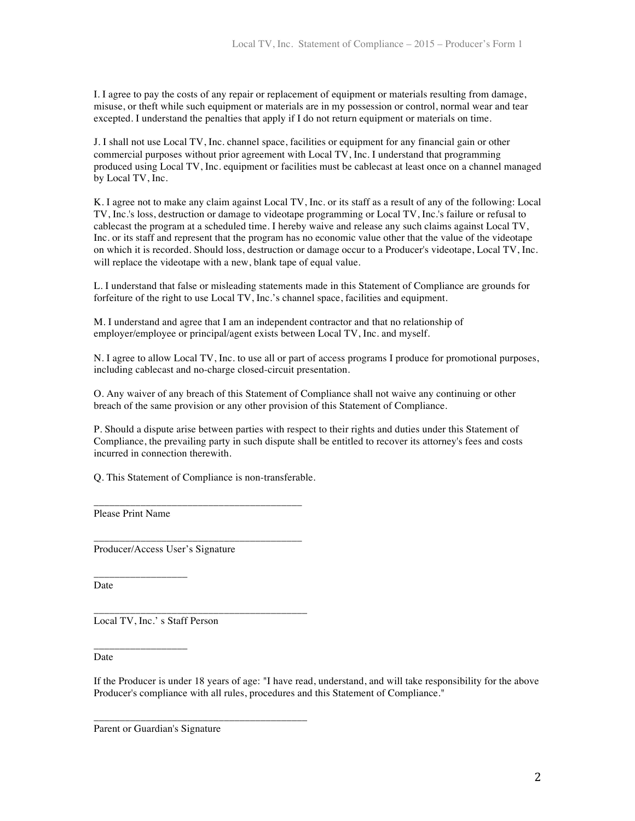I. I agree to pay the costs of any repair or replacement of equipment or materials resulting from damage, misuse, or theft while such equipment or materials are in my possession or control, normal wear and tear excepted. I understand the penalties that apply if I do not return equipment or materials on time.

J. I shall not use Local TV, Inc. channel space, facilities or equipment for any financial gain or other commercial purposes without prior agreement with Local TV, Inc. I understand that programming produced using Local TV, Inc. equipment or facilities must be cablecast at least once on a channel managed by Local TV, Inc.

K. I agree not to make any claim against Local TV, Inc. or its staff as a result of any of the following: Local TV, Inc.'s loss, destruction or damage to videotape programming or Local TV, Inc.'s failure or refusal to cablecast the program at a scheduled time. I hereby waive and release any such claims against Local TV, Inc. or its staff and represent that the program has no economic value other that the value of the videotape on which it is recorded. Should loss, destruction or damage occur to a Producer's videotape, Local TV, Inc. will replace the videotape with a new, blank tape of equal value.

L. I understand that false or misleading statements made in this Statement of Compliance are grounds for forfeiture of the right to use Local TV, Inc.'s channel space, facilities and equipment.

M. I understand and agree that I am an independent contractor and that no relationship of employer/employee or principal/agent exists between Local TV, Inc. and myself.

N. I agree to allow Local TV, Inc. to use all or part of access programs I produce for promotional purposes, including cablecast and no-charge closed-circuit presentation.

O. Any waiver of any breach of this Statement of Compliance shall not waive any continuing or other breach of the same provision or any other provision of this Statement of Compliance.

P. Should a dispute arise between parties with respect to their rights and duties under this Statement of Compliance, the prevailing party in such dispute shall be entitled to recover its attorney's fees and costs incurred in connection therewith.

Q. This Statement of Compliance is non-transferable.

\_\_\_\_\_\_\_\_\_\_\_\_\_\_\_\_\_\_\_\_\_\_\_\_\_\_\_\_\_\_\_\_\_\_\_\_\_\_\_\_

\_\_\_\_\_\_\_\_\_\_\_\_\_\_\_\_\_\_\_\_\_\_\_\_\_\_\_\_\_\_\_\_\_\_\_\_\_\_\_\_

\_\_\_\_\_\_\_\_\_\_\_\_\_\_\_\_\_\_\_\_\_\_\_\_\_\_\_\_\_\_\_\_\_\_\_\_\_\_\_\_\_

\_\_\_\_\_\_\_\_\_\_\_\_\_\_\_\_\_\_\_\_\_\_\_\_\_\_\_\_\_\_\_\_\_\_\_\_\_\_\_\_\_

Please Print Name

\_\_\_\_\_\_\_\_\_\_\_\_\_\_\_\_\_\_

\_\_\_\_\_\_\_\_\_\_\_\_\_\_\_\_\_\_

Producer/Access User's Signature

Date

Local TV, Inc.' s Staff Person

Date

If the Producer is under 18 years of age: "I have read, understand, and will take responsibility for the above Producer's compliance with all rules, procedures and this Statement of Compliance."

Parent or Guardian's Signature